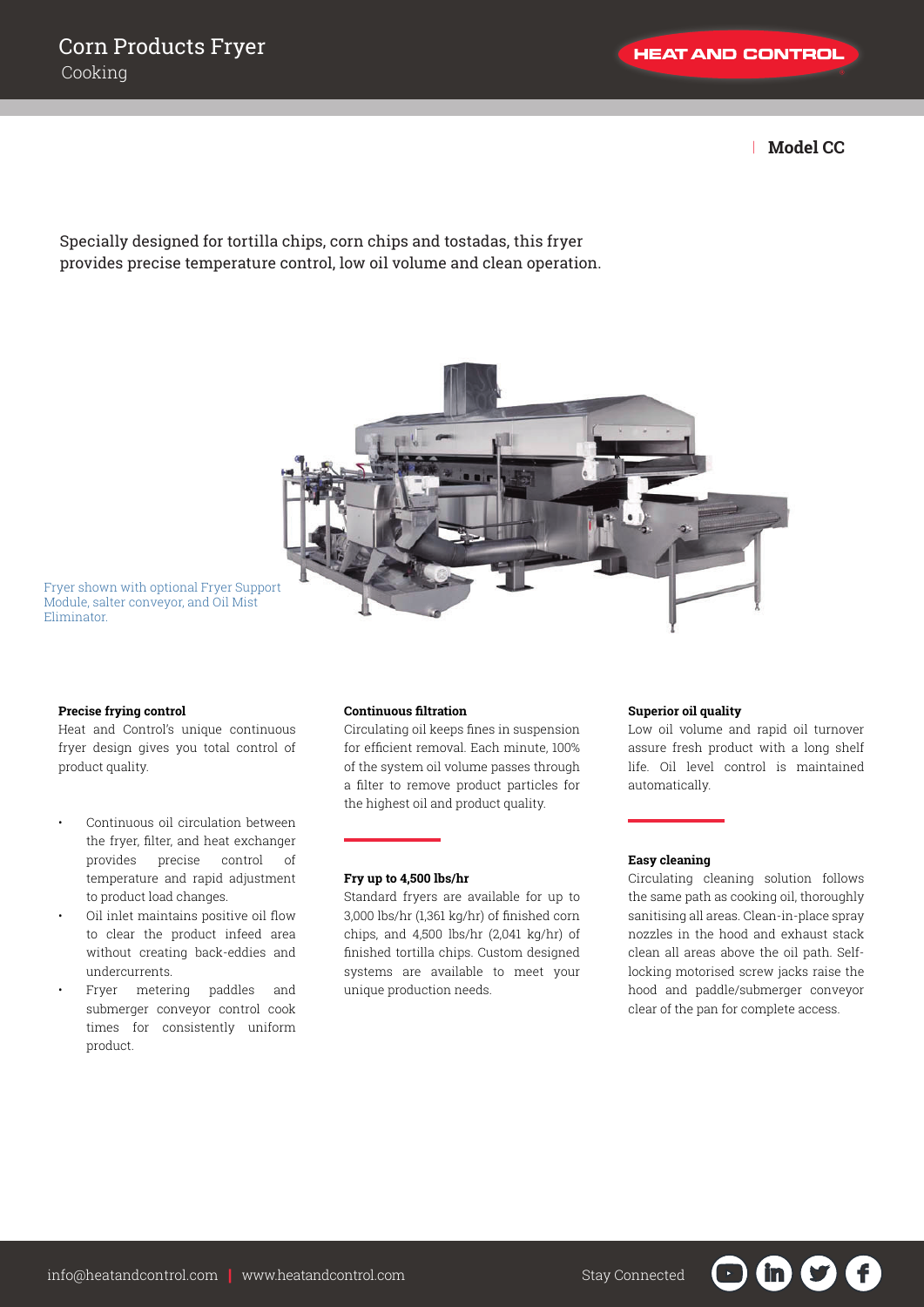**HEAT AND CONTROL** 

| **Model CC**

Specially designed for tortilla chips, corn chips and tostadas, this fryer provides precise temperature control, low oil volume and clean operation.



Fryer shown with optional Fryer Support Module, salter conveyor, and Oil Mist Eliminator.

### **Precise frying control**

Heat and Control's unique continuous fryer design gives you total control of product quality.

- Continuous oil circulation between the fryer, filter, and heat exchanger provides precise control of temperature and rapid adjustment to product load changes.
- Oil inlet maintains positive oil flow to clear the product infeed area without creating back-eddies and undercurrents.
- Fryer metering paddles and submerger conveyor control cook times for consistently uniform product.

# **Continuous filtration**

Circulating oil keeps fines in suspension for efficient removal. Each minute, 100% of the system oil volume passes through a filter to remove product particles for the highest oil and product quality.

#### **Fry up to 4,500 lbs/hr**

Standard fryers are available for up to 3,000 lbs/hr (1,361 kg/hr) of finished corn chips, and 4,500 lbs/hr (2,041 kg/hr) of finished tortilla chips. Custom designed systems are available to meet your unique production needs.

#### **Superior oil quality**

Low oil volume and rapid oil turnover assure fresh product with a long shelf life. Oil level control is maintained automatically.

#### **Easy cleaning**

Circulating cleaning solution follows the same path as cooking oil, thoroughly sanitising all areas. Clean-in-place spray nozzles in the hood and exhaust stack clean all areas above the oil path. Selflocking motorised screw jacks raise the hood and paddle/submerger conveyor clear of the pan for complete access.

in )